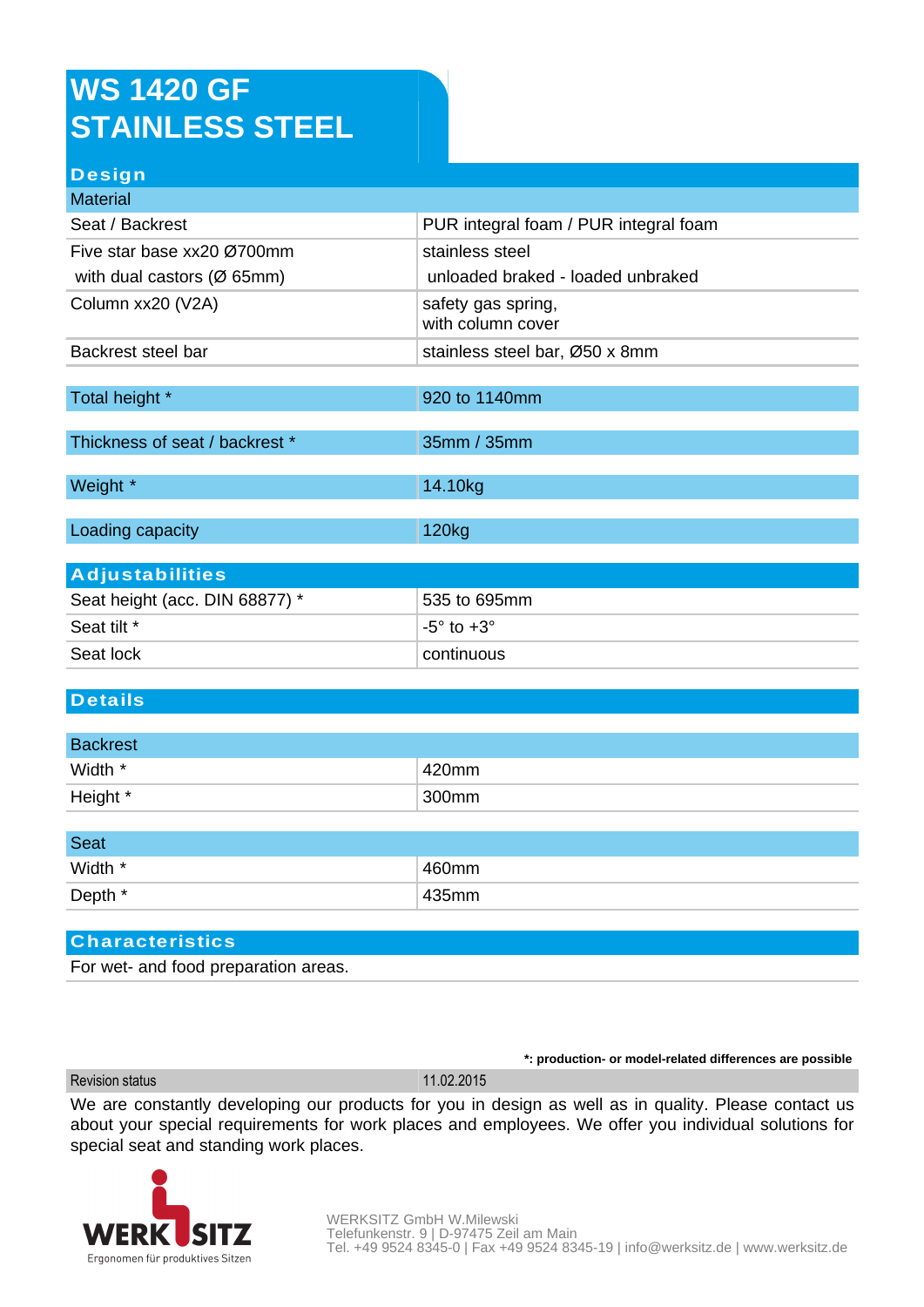## **WS 1420 GF STAINLESS STEEL**

### **Design**

| <b>Material</b>                         |                                         |  |
|-----------------------------------------|-----------------------------------------|--|
| Seat / Backrest                         | PUR integral foam / PUR integral foam   |  |
| Five star base xx20 Ø700mm              | stainless steel                         |  |
| with dual castors ( $\varnothing$ 65mm) | unloaded braked - loaded unbraked       |  |
| Column xx20 (V2A)                       | safety gas spring,<br>with column cover |  |
| Backrest steel bar                      | stainless steel bar, Ø50 x 8mm          |  |
|                                         |                                         |  |
| Total height *                          | 920 to 1140mm                           |  |
|                                         |                                         |  |
| Thickness of seat / backrest *          | 35mm / 35mm                             |  |
|                                         |                                         |  |
| Weight *                                | 14.10kg                                 |  |
|                                         |                                         |  |
| Loading capacity                        | 120kg                                   |  |
|                                         |                                         |  |

| <b>Adjustabilities</b>         |                          |
|--------------------------------|--------------------------|
| Seat height (acc. DIN 68877) * | 535 to 695mm             |
| Seat tilt *                    | $-5^\circ$ to $+3^\circ$ |
| Seat lock                      | ∣ continuous i           |

#### **Details**

| <b>Backrest</b> |       |
|-----------------|-------|
| Width *         | 420mm |
| Height *        | 300mm |

| <b>Seat</b> |       |
|-------------|-------|
| Width *     | 460mm |
| Depth *     | 435mm |

#### **Characteristics**

For wet- and food preparation areas.

**\*: production- or model-related differences are possible**

Revision status 11.02.2015

We are constantly developing our products for you in design as well as in quality. Please contact us about your special requirements for work places and employees. We offer you individual solutions for special seat and standing work places.